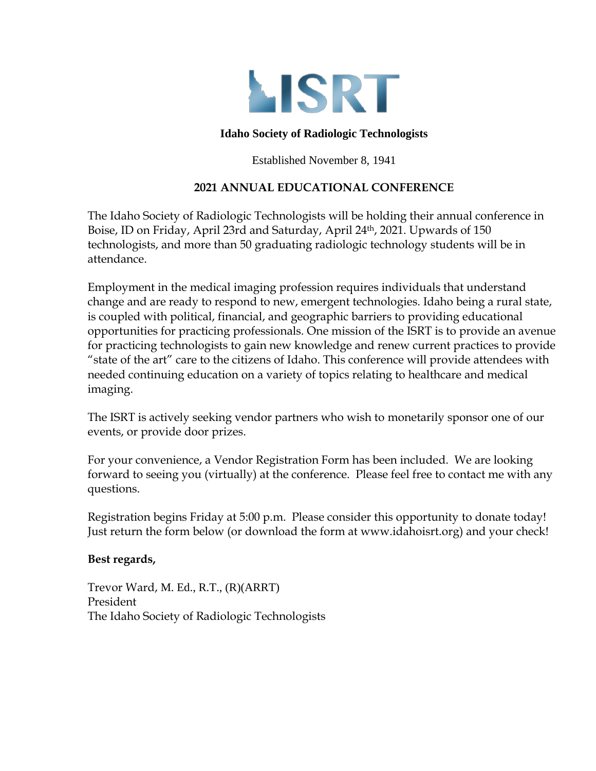

#### **Idaho Society of Radiologic Technologists**

Established November 8, 1941

# **2021 ANNUAL EDUCATIONAL CONFERENCE**

The Idaho Society of Radiologic Technologists will be holding their annual conference in Boise, ID on Friday, April 23rd and Saturday, April 24th, 2021. Upwards of 150 technologists, and more than 50 graduating radiologic technology students will be in attendance.

Employment in the medical imaging profession requires individuals that understand change and are ready to respond to new, emergent technologies. Idaho being a rural state, is coupled with political, financial, and geographic barriers to providing educational opportunities for practicing professionals. One mission of the ISRT is to provide an avenue for practicing technologists to gain new knowledge and renew current practices to provide "state of the art" care to the citizens of Idaho. This conference will provide attendees with needed continuing education on a variety of topics relating to healthcare and medical imaging.

The ISRT is actively seeking vendor partners who wish to monetarily sponsor one of our events, or provide door prizes.

For your convenience, a Vendor Registration Form has been included. We are looking forward to seeing you (virtually) at the conference. Please feel free to contact me with any questions.

Registration begins Friday at 5:00 p.m. Please consider this opportunity to donate today! Just return the form below (or download the form at www.idahoisrt.org) and your check!

#### **Best regards,**

Trevor Ward, M. Ed., R.T., (R)(ARRT) President The Idaho Society of Radiologic Technologists